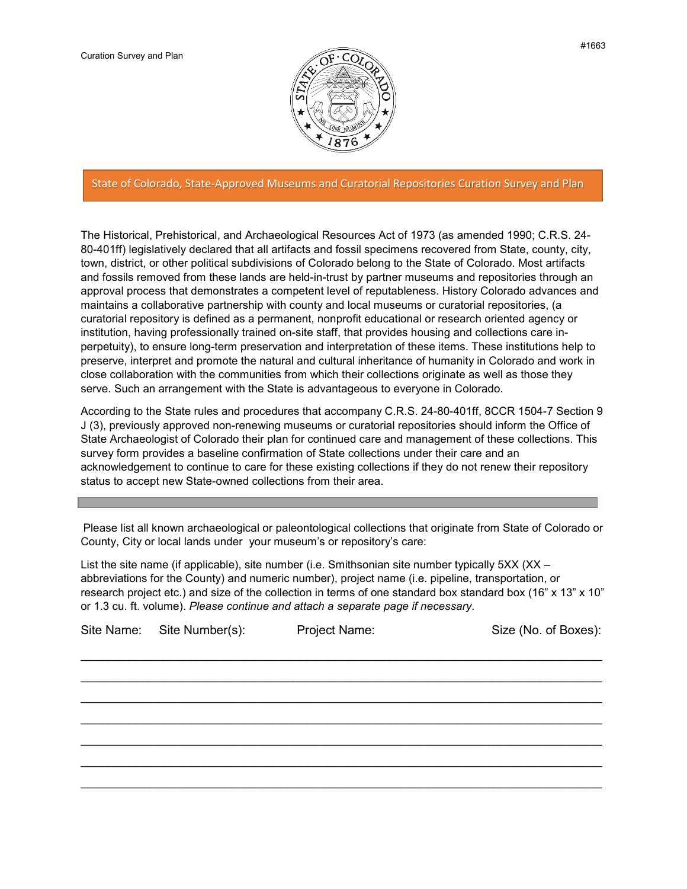

## State of Colorado, State-Approved Museums and Curatorial Repositories Curation Survey and Plan

The Historical, Prehistorical, and Archaeological Resources Act of 1973 (as amended 1990; C.R.S. 24- 80-401ff) legislatively declared that all artifacts and fossil specimens recovered from State, county, city, town, district, or other political subdivisions of Colorado belong to the State of Colorado. Most artifacts and fossils removed from these lands are held-in-trust by partner museums and repositories through an approval process that demonstrates a competent level of reputableness. History Colorado advances and maintains a collaborative partnership with county and local museums or curatorial repositories, (a curatorial repository is defined as a permanent, nonprofit educational or research oriented agency or institution, having professionally trained on-site staff, that provides housing and collections care inperpetuity), to ensure long-term preservation and interpretation of these items. These institutions help to preserve, interpret and promote the natural and cultural inheritance of humanity in Colorado and work in close collaboration with the communities from which their collections originate as well as those they serve. Such an arrangement with the State is advantageous to everyone in Colorado.

According to the State rules and procedures that accompany C.R.S. 24-80-401ff, 8CCR 1504-7 Section 9 J (3), previously approved non-renewing museums or curatorial repositories should inform the Office of State Archaeologist of Colorado their plan for continued care and management of these collections. This survey form provides a baseline confirmation of State collections under their care and an acknowledgement to continue to care for these existing collections if they do not renew their repository status to accept new State-owned collections from their area.

Please list all known archaeological or paleontological collections that originate from State of Colorado or County, City or local lands under your museum's or repository's care:

List the site name (if applicable), site number (i.e. Smithsonian site number typically 5XX (XX – abbreviations for the County) and numeric number), project name (i.e. pipeline, transportation, or research project etc.) and size of the collection in terms of one standard box standard box (16" x 13" x 10" or 1.3 cu. ft. volume). *Please continue and attach a separate page if necessary.*

| Site Name: Site Number(s): | Project Name: | Size (No. of Boxes): |
|----------------------------|---------------|----------------------|
|                            |               |                      |
|                            |               |                      |
|                            |               |                      |
|                            |               |                      |
|                            |               |                      |
|                            |               |                      |
|                            |               |                      |